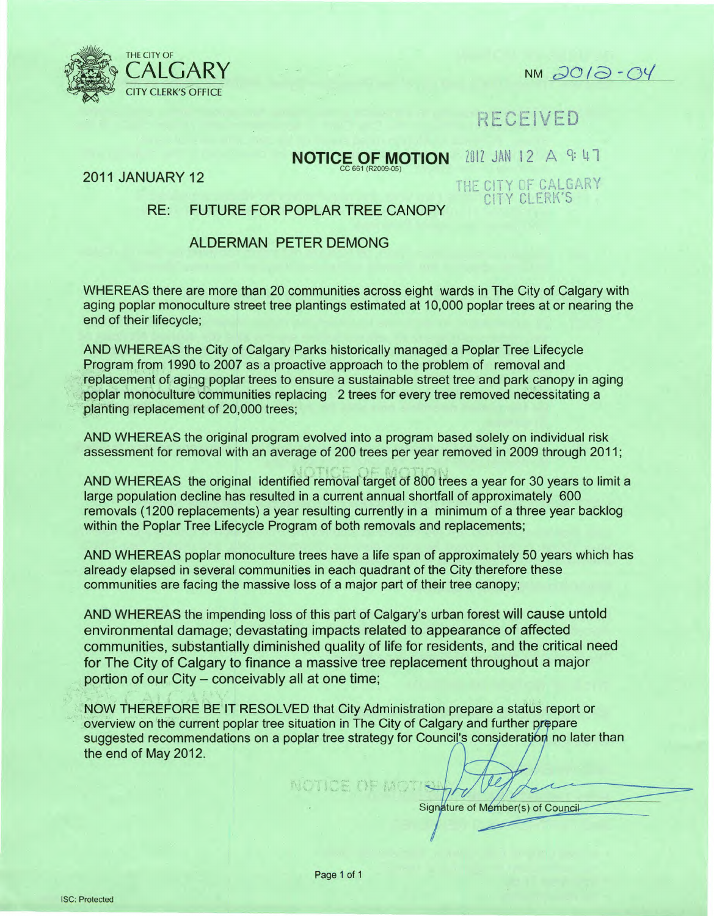

CALGARY NM *do/a -0</*

**RECEIVED** 

# **NOTICE OF MOTION** 2012 JAN 12 A GH

2011 JANUARY 12

THE CITY OF CALGARY CITY CLERK'S

# RE: FUTURE FOR POPLAR TREE CANOPY

### ALDERMAN PETER DEMONG

WHEREAS there are more than 20 communities across eight wards in The City of Calgary with aging poplar monoculture street tree plantings estimated at 10,000 poplar trees at or nearing the end of their lifecycle;

AND WHEREAS the City of Calgary Parks historically managed a Poplar Tree Lifecycle Program from 1990 to 2007 as a proactive approach to the problem of removal and replacement of aging poplar trees to ensure a sustainable street tree and park canopy in aging poplar monoculture 'communities replacing 2 trees for every tree removed necessitating a planting replacement of 20,000 trees;

AND WHEREAS the original program evolved into a program based solely on individual risk assessment for removal with an average of 200 trees per year removed in 2009 through 2011;

AND WHEREAS the original identified removal target of 800 trees a year for 30 years to limit a large population decline has resulted in a current annual shortfall of approximately 600 removals (1200 replacements) a year resulting currently in a minimum of a three year backlog within the Poplar Tree Lifecycle Program of both removals and replacements;

AND WHEREAS poplar monoculture trees have a life span of approximately 50 years which has already elapsed in several communities in each quadrant of the City therefore these communities are facing the massive loss of a major part of their tree canopy;

AND WHEREAS the impending loss of this part of Calgary's urban forest will cause untold environmental damage; devastating impacts related to appearance of affected communities, substantially diminished quality of life for residents, and the critical need for The City of Calgary to finance a massive tree replacement throughout a major portion of our City - conceivably all at one time;

NOW THEREFORE BE IT RESOLVED that City Administration prepare a status report or overview on the current poplar tree situation in The City of Calgary and further prepare suggested recommendations on a poplar tree strategy for Council's consideration no later than the end of May 2012.

Signature of Member(s) of Council

Page 1 of 1

 $\sqrt{ }$  .  $\sqrt{ }$